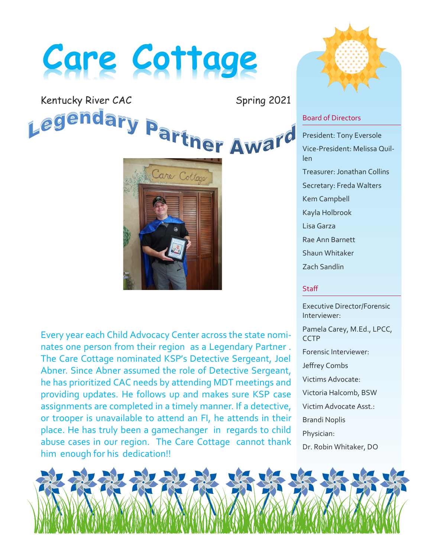# **Care Cottage**

Kentucky River CAC Spring 2021<br>Legendary Partner Award

Care Cottage

Every year each Child Advocacy Center across the state nominates one person from their region as a Legendary Partner . The Care Cottage nominated KSP's Detective Sergeant, Joel Abner. Since Abner assumed the role of Detective Sergeant, he has prioritized CAC needs by attending MDT meetings and providing updates. He follows up and makes sure KSP case assignments are completed in a timely manner. If a detective, or trooper is unavailable to attend an FI, he attends in their place. He has truly been a gamechanger in regards to child abuse cases in our region. The Care Cottage cannot thank him enough for his dedication!!



# Board of Directors

President: Tony Eversole Vice-President: Melissa Quillen Treasurer: Jonathan Collins Secretary: Freda Walters Kem Campbell Kayla Holbrook Lisa Garza Rae Ann Barnett Shaun Whitaker Zach Sandlin

# **Staff**

Executive Director/Forensic Interviewer: Pamela Carey, M.Ed., LPCC, **CCTP** Forensic Interviewer: Jeffrey Combs Victims Advocate: Victoria Halcomb, BSW Victim Advocate Asst.: Brandi Noplis Physician: Dr. Robin Whitaker, DO